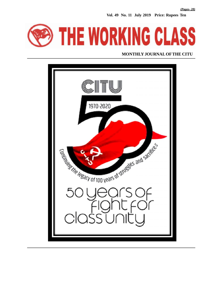**Vol. 49 No. 11 July 2019 Price: Rupees Ten**



#### **MONTHLY JOURNAL OF THE CITU**

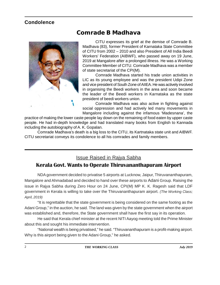#### **Condolence**



### **Comrade B Madhava**

CITU expresses its grief at the demise of Comrade B. Madhava (83), former President of Karnataka State Committee of CITU from 2002 – 2010 and also President of All India Beedi Workers' Federation (AIBWF), who passed away on 19 June, 2019 at Mangalore after a prolonged illness. He was a Working Committee Member of CITU. Comrade Madhava was a member of state secretariat of the CPI(M).

Comrade Madhava started his trade union activities in LIC as its young employee and was the president Udipi Zone and vice president of South Zone of AIIEA. He was actively involved in organising the Beedi workers in the area and soon became the leader of the Beedi workers in Karnataka as the state president of beedi workers union.

Comrade Madhava was also active in fighting against social oppression and had actively led many movements in Mangalore including against the infamous 'Madesnana', the

practice of making the lower caste people lay down on the remaining of food eaten by upper caste people. He had in-depth knowledge and had translated many books from English to Kannada including the autobiography of A. K. Gopalan.

Comrade Madhava's death is a big loss to the CITU, its Kartnataka state unit and AIBWF. CITU secretariat conveys its condolence to all his comrades and family members.

#### Issue Raised in Rajya Sabha

#### **Kerala Govt. Wants to Operate Thiruvananthapuram Airport**

NDA government decided to privatise 5 airports at Lucknow, Jaipur, Thiruvananthapuram, Mangalore and Ahmadabad and decided to hand over these airports to Adani Group. Raising the issue in Rajya Sabha during Zero Hour on 24 June, CPI(M) MP K. K. Ragesh said that LDF government in Kerala is willing to take over the Thiruvananthapuram airport. *(The Working Class; April, 2019)*

"It is regrettable that the state government is being considered on the same footing as the Adani Group," in the auction, he said. The land was given by the state government when the airport was established and, therefore, the State government shall have the first say in its operation.

He said that Kerala chief minister at the recent NITI Aayog meeting told the Prime Minister about this and sought his immediate intervention.

"National wealth is being privatised," he said. "Thiruvananthapuram is a profit-making airport. Why is this airport being given to the Adani Group," he asked.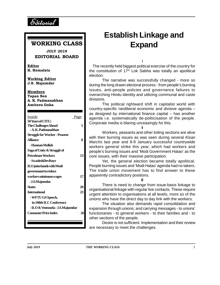

#### **WORKING CLASS**

**JULY 2019 EDITORIAL BOARD**

**Editor K. Hemalata**

**Working Editor J.S. Majumdar**

**Members Tapan Sen A. K. Padmanabhan Amitava Guha**

| Inside                               | Page | age  |
|--------------------------------------|------|------|
| 50 Years of CITU;                    |      | Corr |
| <b>The Challenges Ahead</b>          | 5    |      |
| - A. K. Padmanabhan                  |      |      |
| <b>Struggle for Worker - Peasent</b> |      | with |
| <b>Alliance</b>                      | 8    | Mar  |
| - Hannan Mollah                      |      | worl |
| Saga of Unity & Struggle of          |      | peo  |
| <b>Petroleum Workers</b>             | 13   | core |
| - SwadeshDevRoye                     |      |      |
| <b>ILO</b> joins hands with Modi     |      | Peo  |
| governmant to reduce                 |      | The  |
| workers minimum wages                | 17   | appa |
| - J.S.Majumdar                       |      |      |
| <b>States</b>                        | 20   |      |
| <b>International</b>                 | 23   | orga |
| - WFTU GS Speech,                    |      | urge |
| in 108th ILC Conference              |      | unio |
| - ILO & Venezuela - J.S.Majumdar     |      | expa |
| <b>Consumer Price Index</b>          | 26   | func |
|                                      |      | othe |
|                                      |      |      |
|                                      |      |      |

## **Establish Linkage and Expand**

I

The recently held biggest political exercise of the country for the constitution of  $17<sup>th</sup>$  Lok Sabha was totally an apolitical election.

The narrative was successfully changed - more so during the long drawn electoral process - from people's burning issues, anti-people policies and governance failures to overarching Hindu identity and utilizing communal and caste divisions.

The political rightward shift in capitalist world with country-specific neoliberal economic and divisive agenda – as designed by international finance capital – has another agenda i.e. systematically de-politicisation of the people. Corporate media is blaring unceasingly for this.

II

Petroleum Workers **13** core issues, with their massive participation. Workers, peasants and other toiling sections are alive with their burning issues as was seen during several *Kisan Marchs* last year and 8-9 January successful countrywide workers general strike this year, which had workers and people's burning issues and 'Modi Government Hatao' as the

Yet, the general election became totally apolitical. People burning issues and 'Modi Hatao' agenda had no takers. The trade union movement has to find answer to these apparently contradictory positions.

III aasta There is need to change from issue-basis linkage to organisational linkage with regular live contacts. These require urgent attention to organisations at all levels, more so of the unions who have the direct day to day link with the workers.

**Consumer Price Index 26** functionaries - to general workers - to their families and - to The situation also demands rapid consolidation and expansion through unions; and carrying messages - to unions' other sections of the people.

> Desire is not sufficient. Implementation and their review are necessary to meet the challenges.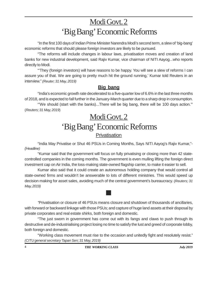## Modi Govt. 2 'Big Bang' Economic Reforms

"In the first 100 days of Indian Prime Minister Narendra Modi's second term, a slew of 'big-bang' economic reforms that should please foreign investors are likely to be pursued.

"The reforms will include changes in labour laws, privatisation moves and creation of land banks for new industrial development, said Rajiv Kumar, vice chairman of NITI Aayog...who reports directly to Modi.

"'They (foreign investors) will have reasons to be happy. You will see a slew of reforms I can assure you of that. We are going to pretty much hit the ground running,' Kumar told Reuters in an interview." *(Reuter; 31 May, 2019)*

#### **Big bang**

"India's economic growth rate decelerated to a five-quarter low of 6.6% in the last three months of 2018, and is expected to fall further in the January-March quarter due to a sharp drop in consumption.

"'We should (start with the banks)...There will be big bang, there will be 100 days action.'" (*Reuters; 31 May, 2019*)

### Modi Govt. 2 'Big Bang' Economic Reforms **Privatisation**

"India May Privatise or Shut 46 PSUs in Coming Months, Says NITI Aayog's Rajiv Kumar,"- *(Headline)*

"Kumar said that the government will focus on fully privatising or closing more than 42 statecontrolled companies in the coming months. The government is even mulling lifting the foreign direct investment cap on Air India, the loss-making state-owned flagship carrier, to make it easier to sell.

Kumar also said that it could create an autonomous holding company that would control all state-owned firms and wouldn't be answerable to lots of different ministries. This would speed up decision making for asset sales, avoiding much of the central government's bureaucracy. (*Reuters; 31 May, 2019)*

**Contract Contract Contract** 

*"*Privatisation or closure of 46 PSUs means closure and shutdown of thousands of ancillaries, with forward or backward linkage with those PSUs; and capture of huge land assets at their disposal by private corporates and real estate shirks, both foreign and domestic.

"The just sworn in government has come out with its fangs and claws to push through its destructive and de-industrialising project losing no time to satisfy the lust and greed of corporate lobby, both foreign and domestic.

"Working class movement must rise to the occasion and unitedly fight and resolutely resist." *(CITU general secretary Tapan Sen; 31 May, 2019)*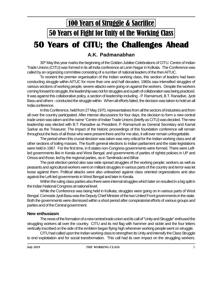## **50 Years of CITU; the Challenges Ahead** 100 Years of Struggle & Sacrifice 50 Years of Fight for Unity of the Working Class

#### **A.K. Padmanabhan**

30<sup>th</sup> May this year marks the beginning of the Golden Jubilee Celebrations of CITU. Centre of Indian Trade Unions (CITU) was formed in its all India conference at Lenin Nagar in Kolkata. The Conference was called by an organizing committee consisting of a number of national leaders of the then AITUC.

To reorient the premier organisation of the Indian working class, this section of leaders had been conducting struggle within AITUC for more than one and half decades. 1960s saw intensified struggles of various sections of working people; severe attacks were going on against the workers. Despite the workers coming forward to struggle, the leadership was not for struggles and a path of collaboration was being practiced. It was against this collaborative policy, a section of leadership including - P. Ramamurti, B.T. Ranadive, Jyoti Basu and others - conducted the struggle within. When all efforts failed, the decision was taken to hold an all India conference.

In this Conference, held from 27 May 1970, representatives from all the sectors of industries and from all over the country participated. After intense discussions for four days, the decision to form a new central trade union was taken and the name "Centre of Indian Trade Unions (briefly as CITU) was decided. The new leadership was elected with B.T. Ranadive as President, P. Ramamurti as General Secretary and Kamal Sarkar as the Treasurer. The impact of the historic proceedings of this foundation conference will remain throughout the lives of all those who were present there and for me also, it will ever remain unforgettable.

The period when this crucial decision was taken was very critical for the Indian working class and all other sections of toiling masses. The fourth general elections to Indian parliament and the state legislations were held in 1967. For the first time, in 8 states non-Congress governments were formed. There were Leftled governments like in Kerala and West Bengal; and governments of parties of rightist policies in UP and Orissa and those, led by the regional parties, as in Tamilnadu and Bihar.

The post election period also saw wide spread struggles of the working people; workers as well as peasants and agricultural workers went on militant struggles in various parts of the country and terror was let loose against them. Political attacks were also unleashed against class oriented organizations and also against the Left-led governments in West Bengal and later in Kerala.

Within the ruling class parties also there were internal struggles which later on resulted in a big split in the Indian National Congress at national level.

While the Conference was being held in Kolkata, struggles were going on in various parts of West Bengal. Comrade Jyoti Basu was the Deputy Chief Minister of the two United Front governments in the state. Both the governments were dismissed within a short period after conspiratorial efforts of various groups and parties and of the Central government.

#### **New enthusiasm**

The news of the formation of a new central trade union and its call of "Unity and Struggle" enthused the struggling workers all over the country. CITU and its red flag with hammer and sickle and the four letters vertically inscribed on the side of the emblem began flying high whenever working people went on struggle.

CITU had called upon the Indian working class to strengthen its Unity and intensify the Class Struggle to end exploitation and for social transformation. This call had its own impact on the struggling workers.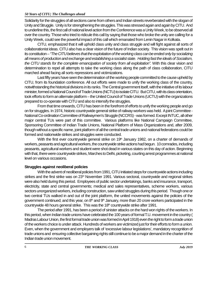#### *50 Years of CITU; The Challenges ahead*

Solidarity for the struggles of all sections came from others and Indian streets reverberated with the slogan of Unity and Struggle. Unity is for strengthening the struggles. This was stressed again and again by CITU. And to underline this, the first call of national level action from the Conference was a Unity Week, to be observed all over the country. Those who tried to ridicule this call by saying that those who broke the unity are calling for a Unity Week, could see the powerful impact of this call which emanated from Lenin Nagar in Kolkata.

CITU, emphasized that it will uphold class unity and class struggle and will fight against all sorts of collaborationist ideas. CITU also has a clear vision of the future of Indian society. This vision was spelt out in its constitution –*"The CITU believes that the exploitation of the working class can be ended only by socializing all means of production and exchange and establishing a socialist state. Holding fast the ideals of Socialism, the CITU stands for the complete emancipation of society from all exploitation".* With this clear vision and determination to repel all attempts to take the working class along the path of class collaboration, CITU marched ahead facing all sorts repressions and victimizations.

Last fifty years have seen the determination of the working people committed to the cause upheld by CITU, from its foundation conference. All out efforts were made to unify the working class of the country, notwithstanding the historical divisions in its ranks. The Central government itself, with the initiative of its labour minister, formed a National Council of Trade Unions (NCTU) to isolate CITU. But CITU, with its class orientation, took efforts to form an alternate platform – the United Council of Trade Unions (UCTU) with the organizations prepared to co-operate with CITU and also to intensify the struggles.

From that time onwards, CITU has been in the forefront of efforts to unify the working people and go on for struggles. In 1974, historic countrywide general strike of railway workers was held. A joint Committee - National Co-ordination Committee of Railwaymen's Struggle (NCCRS) - was formed. Except INTUC, all other major central TUs were part of this committee. Various platforms like National Campaign Committee, Sponsoring Committee of Indian Trade Unions, National Platform of Mass Organizations and, after 2009, though without a specific name, joint platform of all the central trade unions and national federations could be formed and nationwide strikes and struggles were conducted.

With the first ever countrywide general strike on  $19<sup>th</sup>$  January 1982, on a charter of demands of workers, peasants and agricultural workers, the countrywide strike actions had begun. 10 comrades, including peasants, agricultural workers and student were shot dead in various states on this day of action. Beginning with that, there were countrywide strikes, Marches to Delhi, picketing, courting arrest programmes at national level on various occasions.

#### **Struggles against neoliberal policies**

With the advent of neoliberal policies from 1991, CITU initiated steps for countrywide actions including strikes and the first strike was on 23<sup>rd</sup> November 1991. Various sectoral, countrywide and regional strikes were also held during this period. Employees of public sector undertakings, banks and insurance, transport, electricity, state and central governments; medical and sales representatives, scheme workers, various sectors unorganized workers, including construction, saw united struggles during this period. Though one or two central TUs walked in and out of the joint platform, the united movements against the policies of the government continued; and this year, on 8<sup>th</sup> and 9<sup>th</sup> January, more than 20 crore workers participated in the countrywide 48 hours general strike. This was the 18<sup>th</sup> countrywide strike after 1991.

The period after 1991, has been a period of sinister attacks on the hard won rights of the workers. In this period, when Indian trade unions have celebrated the 100 years of formal T.U. movement in the country ( Madras Labour Union, the first formal trade union was formed in April 1918) even the right to form a trade union of the workers choice is under attack. Hundreds of workers are victimized just for their efforts to form a union. Even, when the government and employers talk of 'excessive labour legislations', mandatory recognition of trade unions and ensuring collective bargaining rights still continue to be a major demand in the charter of the Indian trade union movement.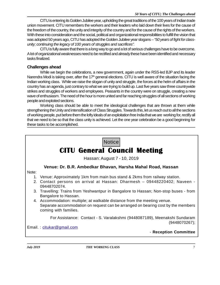CITU is entering its Golden Jubilee year, upholding the great traditions of the 100 years of Indian trade union movement. CITU remembers the workers and their leaders who laid down their lives for the cause of the freedom of the country, the unity and integrity of the country and for the cause of the rights of the workers. With these into consideration and the social, political and organizational responsibilities to fulfill the vision that was adopted 50 years ago, CITU has adopted the Golden Jubilee year slogans –*"50 years of fight for classunity; continuing the legacy of 100 years of struggles and sacrifices".*

CITU is fully aware that there is a long way to go and a lot of serious challenges have to be overcome. A lot of organizational weaknesses need to be rectified and already these have been identified and necessary tasks finalized.

#### **Challenges ahead**

While we begin the celebrations, a new government, again under the RSS-led BJP and its leader Narendra Modi is taking over, after the 17<sup>th</sup> general elections. CITU is well aware of the situation facing the Indian working class. While we raise the slogan of unity and struggle, the forces at the helm of affairs in the country has an agenda, just contrary to what we are trying to build up. Last five years saw three countrywide strikes and struggles of workers and employees. Peasants in the country were on struggle, creating a new wave of enthusiasm. The need of the hour is more united and far reaching struggles of all sections of working people and exploited sections.

Working class should be able to meet the ideological challenges that are thrown at them while strengthening the Unity and intensification of Class Struggles. Towards this, let us reach out to all the sections of working people, put before them the lofty ideals of an exploitation free India that we are working for, rectify all that we need to be so that the class unity is achieved. Let the one year celebration be a good beginning for these tasks to be accomplished.

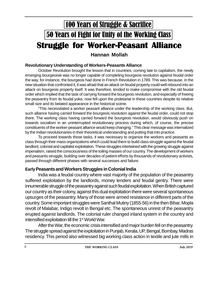## 50 Years of Fight for Unity of the Working Class **Struggle for Worker-Peasant Alliance** 100 Years of Struggle & Sacrifice

#### **Hannan Mollah**

#### **Revolutionary Understanding of Workers-Peasants Alliance**

October Revolution brought the lesson that in countries, coming late to capitalism, the newly emerging bourgeoisie was no longer capable of completing bourgeois revolution against feudal order the way, for instance, the bourgeois had done in French Revolution in 1789. This was because, in the new situation that confronted it, it was afraid that an attack on feudal property could well rebound into an attack on bourgeois property itself. It was therefore, tended to make compromise with the old feudal order which implied that the task of carrying forward the bourgeois revolution, and especially of freeing the peasantry from its feudal yoke, now fell upon the proletariat in these countries despite its relative small size and its belated appearance in the historical scene.

"This necessitated a worker peasant alliance under the leadership of the working class. But, such alliance having carried forward the bourgeois revolution against the feudal order, could not stop there. The working class having carried forward the bourgeois revolution, would obviously push on towards socialism in an uninterrupted revolutionary process during which, of course, the precise constituents of the worker-peasant alliance would keep changing." This clear message was internalized by the Indian revolutionaries in their theoretical understanding and putting that into practice.

To proceed towards those tasks, it was necessary to organize the workers and peasants as class through their mass organizations which could lead them to build class struggle against the feudal landlord, colonial and capitalist exploitation. These struggles intertwined with the growing struggle against imperialism, raised the consciousness of the toiling masses of our country. The development of workers and peasants struggle, building over decades of patient efforts by thousands of revolutionary activists, passed through different phases with several successes and failure.

#### **EarlyPeasants and Workers Struggles in Colonial India**

India was a feudal country where vast majority of the population of the peasantry suffered exploitation by the landlords, money lenders and feudal gentry. There were innumerable struggle of the peasantry against such feudal exploitation. When British captured our country as their colony, against this dual exploitation there were several spontaneous upsurges of the peasantry. Many of those were armed resistance in different parts of the country. Some important struggles were Santhal Mutiny (1855-56) in the then Bihar, Mopla revolt of Malabar, Indigo revolt in Bengal etc. The spontaneous unrest of the peasantry erupted against landlords. The colonial ruler changed inland system in the country and intensified exploitation till the 1<sup>st</sup> World War.

After the War, the economic crisis intensified and major burden fell on the peasantry. The struggle spread against the exploitation in Punjab, Kerala, UP, Bengal, Bombay, Madras residency. This period also witnessed big working class action in textile and jute mills in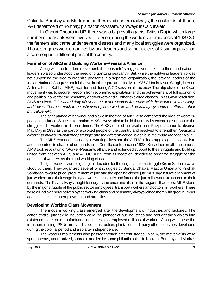Calcutta, Bombay and Madras in northern and eastern railways, the coalfields of Jharia, P&T department of Bombay, plantation of Assam, tramways in Calcutta etc.

In Chouri Choura in UP, there was a big revolt against British Raj in which large number of peasants were involved. Later on, during the world economic crisis of 1929-30, the farmers also came under severe distress and many local struggles were organized. Those struggles were organized by local leaders and some nucleus of Kisan organization also emerged in different parts of the country.

#### **Formation of AlKS and Building Workers-Peasants Alliance**

Along with the freedom movement, the peasants' struggles were linked to them and national leadership also understood the need of organizing peasantry. But, while the rightwing leadership was not supporting the idea to organize peasants in a separate organization, the leftwing leaders of the Indian National Congress took initiative in this regard and, finally, in 1936 All India Kisan Sangh, later on All India Kisan Sabha (AIKS), was formed during AICC session at Lucknow. The objective of the Kisan movement was to secure freedom from economic exploitation and the achievement of full economic and political power for the peasantry and workers and all other exploited classes. In its Gaya resolution, AIKS resolved, *"It is sacred duty of every one of our Kisan to fraternise with the workers in the village and towns. There is much to be achieved by both workers and peasantry by common effort for their mutual benefit*."

The acceptance of hammer and sickle in the flag of AIKS also cemented the idea of workerspeasants alliance. Since its formation, AIKS always tried to build that unity by extending support to the struggle of the workers in different times. The AIKS adopted the resolution in Faizpur session to observe May Day in 1938 as the part of exploited people of the country and resolved to strengthen *"peasants alliance to India's revolutionary struggle and their determination to achieve the Kisan Mazdoor Raj*."

The AIKS extended solidarity to working class and the AITUC in its struggle against capitalism and supported its charter of demands in its Comilla conference in 1938. Since then in all its sessions, AIKS took resolution of Worker-Peasants alliance and extended support to their struggle and build up united front between AIKS and AITUC. AIKS from its inception, decided to organize struggle for the agricultural workers as the rural working class.

The jute workers were fighting for decades for their rights. In their struggle Kisan Sabha always stood by them. They organized several joint struggles by Bengal Chatkal Mazdur Union and Krishak Samity on raw jute price, procurement of jute and the opening closed jute mills, against retrenchment of jute workers and their wage in a year were taken jointly and forced the jute mill owners to accede to their demands. The Kisan always fought for sugarcane price and also for the sugar mill workers. AIKS stood by the major struggle of the public sector employees, transport workers and cotton mill workers. There were all India general strikes by the working class and peasantry always joined them with great number against price rise, unemployment and atrocities.

#### **Developing Working Class Movement**

The modern working class emerged after the development of industries and factories. The cotton textile, jute textile industries were the pioneer of our industries and brought the workers into existence. Later on manufacturing industries also employed millions of workers. Along with these the transport, mining, PSUs, iron and steel, construction, plantation and many other industries developed during the colonial period and also after independence.

The workers movements also passed through different stages. Initially, the movements were spontaneous, unorganized, sporadic and led by some philanthropists in Kolkata, Bombay and Madras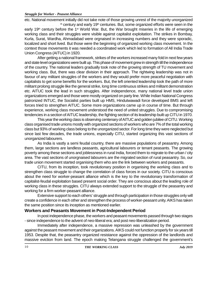#### *Struggle for Worker - Peasent Alliance*

etc. National movement initially did not take note of those growing unrest of the majority unorganized  $<sup>th</sup>$  century and early 19<sup>th</sup> centuries. But, some organized efforts were seen in the</sup> early 19<sup>th</sup> century before the 1<sup>st</sup> World War. But, the War brought miseries in the life of emerging working class and their struggles were visible against capitalist exploitation. The strikes in Bombay, Kurla, Surat, Wardha, Ahmadabad were orgnaised in increasing numbers and they were sporadic, localized and short lived. But those were the beginning of organized working class movement. In the context those movements it was needed a coordinated work which led to formation of All India Trade Union Congress (AITUC) in 1920.

After getting a national framework, strikes of the workers increased many fold in next few years and state level organizations were built up. This phase of movement grew in strength till the independence of the country. The national leaders gradually took note of the growing strength of TU movement and working class. But, there was clear division in their approach. The rightwing leadership was not in favour of any militant struggles of the workers and they would prefer more peaceful negotiation with capitalists to get some benefits for the workers. But, the left oriented leadership took the path of more militant prolong struggle like the general strike, long time continuous strikes and militant demonstration etc. AITUC took the lead in such struggles. After independence, many national level trade union organizations emerged and those were mostly organized on party line. While Indian National Congress patronized INTUC, the Socialist parties built up HMS, Hindutwawadi force developed BMS and left forces tried to strengthen AITUC. Some more organizations came up in course of time. But through experience, working class movement understood the need of united struggles. Due to compromising tendencies in a section of AITUC leadership, the fighting section of its leadership built up CITU in 1970.

This year the working class is observing centenary of AITUC and golden jubilee of CITU. Working class organised trade unions mostly with organized sections of workers who are 7% of the total working class but 93% of working class belong to the unorganized sector. For long time they were neglected but since last few decades, the trade unions, especially CITU, started organizing this vast sections of unorganized labourers.

As India is vastly a semi feudal country, there are massive populations of peasantry. Among them, large sections are landless peasants, agricultural labourers or tenant peasants. The growing poverty among these sections and joblessness in rural India, forced them to migrate to the urban / city area. The vast sections of unorgnaised labourers are the migrated section of rural peasantry. So, our trade union movement started organising them who are the link between workers and peasants.

CITU, from its inception, took revolutionary position in organising the working class and to strengthen class struggle to change the correlation of class forces in our society. CITU is conscious about the need for worker-peasant alliance which is the key to the revolutionary transformation of capitalist-feudal exploitation based present social order. They are conscious about the leading role of working class in these struggles. CITU always extended support to the struggle of the peasantry and working for a firm worker-peasant alliance.

Extensive support to each others' struggle and through participation in those struggles only will create a confidence in each other and strengthen the process of worker-peasant unity. AIKS has taken the same position since its inception as mentioned earlier.

#### **Workers and Peasants Movement in Post-Independent Period**

In post independence phase, the workers and peasant movements passed through two stages - since independence to the advent of neo-liberal era; and post neo-liberalization period.

Immediately after independence, a massive repression was unleashed by the government against the peasant movement and their organizations. AIKS could not function properly for six years till 1953. Despite that, the peasantry organized resistance against the oppression of the landlords and massive eviction from land. The epoch making Telangana struggle challenged the government's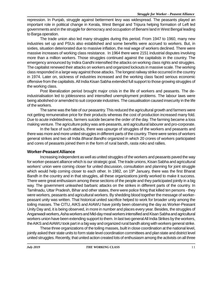repression. In Punjab, struggle against betterment levy was widespread. The peasants played an important role in political change in Kerala, West Bengal and Tripura helping formation of Left led governments and in the struggle for democracy and occupation of Benami land in West Bengal leading to Barga operation.

The trade union also led many struggles during this period. From 1947 to 1960, many new industries set up and PSUs also established and some benefits were accrued to workers. But, in sixties, situation deteriorated due to massive inflation, the real wage of workers declined. There were massive increases of working class resistance. In 1964 there were 2151 industrial disputes involving more than a million workers. Those struggles continued against the capitalists in the country. The emergency announced by Indira Gandhi intensified the attacks on working class rights and struggles. The capitalist renewed their attacks on workers and organized lockouts in massive scale. The working class responded in a large way against those attacks. The longest railway strike occurred in the country in 1974. Later on, sickness of industries increased and the working class faced serious economic offensive from the capitalists. All India Kisan Sabha extended full support to those growing struggles of the working class.

Post liberalization period brought major crisis in the life of workers and peasants. The deindustrialisation led to joblessness and intensified unemployment problems. The labour laws were being abolished or amended to suit corporate industries. The casualisation caused insecurity in the life of the workers.

The same was the fate of our peasantry. This reduced the agricultural growth and farmers were not getting remunerative price for their products whereas the cost of production increased many fold. Due to acute indebtedness, farmers suicide became the order of the day. The farming became a loss making venture. The agriculture policy was anti-peasants, anti agricultural labourer and pro-corporate.

In the face of such attacks, there was upsurge of struggles of the workers and peasants and there was more and more united struggles in different parts of the country. There were series of workers general strikes and two all India *Bharat Bandhs* organized in which 20 crores of workers participated and cores of peasants joined them in the form of rural bandh, *rasta roko* and rallies.

#### **Worker-Peasant Alliance**

Increasing independent as well as united struggles of the workers and peasants paved the way for worker-peasant alliance which is our strategic goal. The trade unions, Kisan Sabha and agricultural workers' union were coming closer for united discussion, consultation and planning for joint struggle which would help coming closer to each other. In 1982, on 19<sup>th</sup> January, there was the first Bharat Bandh in the country and in that struggles, all these organizations jointly worked to make it success. There were great enthusiasm among these sections of the people and they participated jointly in a big way. The government unleashed barbaric attacks on the strikes in different parts of the country. In Tamilnadu, Uttar Pradesh, Bihar and other states, there were police firing that killed ten persons - they were workers, peasants and agricultural workers. By shedding blood together the message of workerpeasant unity was written. That historical united sacrifice helped to work for broader unity among the toiling masses. The CITU, AIKS and AIAWU have jointly been observing the day as Worker-Peasant Unity Day and, it is being observed, in more in number and places every year. Besides, the struggles of Anganwadi workers, Asha workers and Mid-day meal workers intensified and Kisan Sabha and agricultural workers union have been extending support to them. In last two general All India Strikes by the workers, the AIKS and AIAWU took part in a big way and organized rural bandh along with workers general strike.

These three organizations of the toiling masses, built in close coordination at the national level, jointly asked their state units to form state level coordination committees and plan state and district level united struggles. Recently, that united action created lots of enthusiasm among the activists on all three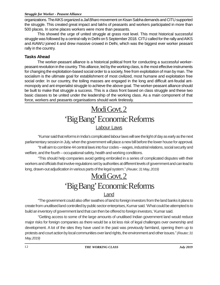#### *Struggle for Worker - Peasent Alliance*

organizations. The AIKS organized a*Jail Bharo* movement on Kisan Sabha demands and CITU supported the struggle. This created great impact and lakhs of peasants and workers participated in more than 500 places. In some places workers were more than peasants.

This showed the urge of united struggle at grass root level. This most historical successful struggle was followed by a central rally in Delhi on 5 September 2018. CITU called for the rally and AIKS and AIAWU joined it and drew massive crowed in Delhi, which was the biggest ever worker peasant rally in the country.

#### **Tasks Ahead**

The worker-peasant alliance is a historical political front for conducting a successful workerpeasant revolution in the country. This alliance, led by the working class, is the most effective instruments for changing the exploitation-based social order to a society, free from exploitation of man by man. The socialism is the ultimate goal for establishment of most civilized, most humane and exploitation free social order. In our country, the toiling masses are engaged in the long and difficult ant-feudal antmonopoly and ant-imperialist struggle to achieve the above goal. The worker-peasant alliance should be built to make that struggle a success. This is a class front based on class struggle and these two basic classes to be united under the leadership of the working class. As a main component of that force, workers and peasants organisations should work tirelessly.

## Modi Govt. 2 'Big Bang' Economic Reforms Labour Laws

"Kumar said that reforms in India's complicated labour laws will see the light of day as early as the next parliamentary session in July, when the government will place a new bill before the lower house for approval. "It will aim to combine 44 central laws into four codes – wages, industrial relations, social security and welfare, and the fourth – occupational safety, health and working conditions.

"This should help companies avoid getting embroiled in a series of complicated disputes with their workers and officials that involve regulations set by authorities at different levels of government and can lead to long, drawn-out adjudication in various parts of the legal system."*(Reuter; 31 May, 2019)*

## Modi Govt. 2 'Big Bang' Economic Reforms

#### Land

"The government could also offer swathes of land to foreign investors from the land banks it plans to create from unutilised land controlled by public sector enterprises, Kumar said. 'What could be attempted is to build an inventory of government land that can then be offered to foreign investors,' Kumar said.

"Getting access to some of the large amounts of unutilised Indian government land would reduce major risks for foreign companies as there would be a lot less risk of legal challenges over ownership and development. A lot of the sites they have used in the past was previously farmland, opening them up to protests and court action by local communities over land rights, the environment and other issues."*(Reuter; 31 May, 2019)*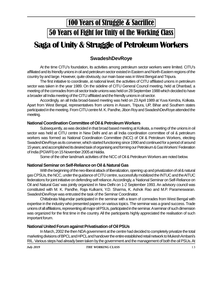## 100 Years of Struggle & Sacrifice 50 Years of Fight for Unity of the Working Class

## **Saga of Unity & Struggle of Petroleum Workers**

#### **SwadeshDevRoye**

At the time CITU's foundation, its activities among petroleum sector workers were limited. CITU's affiliated and its friendly unions in oil and petroleum sector existed in Eastern and North-Eastern regions of the country by and large. However, quite obviously, our main base was in West Bengal and Tripura.

The first initiative to coordinate, at national level, the activities of CITU affiliated unions in petroleum sector was taken in the year 1989. On the sideline of CITU General Council meeting, held at Dhanbad, a meeting of the comrades from oil sector trade unions was held on 28 September 1988 which decided to have a broader all India meeting of the CITU affiliated and the friendly unions in oil sector.

Accordingly, an all India broad-based meeting was held on 23 April 1989 at Yuva Kendra, Kolkata. Apart from West Bengal, representatives from unions in Assam, Tripura, UP, Bihar and Southern states participated in the meeting. From CITU centre M. K. Pandhe, Jibon Roy and SwadeshDevRoye attended the meeting.

#### **National Coordination Committee of Oil & Petroleum Workers**

Subsequently, as was decided in that broad based meeting at Kolkata, a meeting of the unions in oil sector was held at CITU centre in New Delhi and an all India coordination committee of oil & petroleum workers was formed as National Coordination Committee (NCC) of Oil & Petroleum Workers, electing SwadeshDevRoye as its convener, which started functioning since 1990 and continued for a period of around 15 years; and accomplished its desired task of organising and forming our Petroleum & Gas Workers' Federation of India (PGWFI) on 15 November 2005 at Haldia.

Some of the other landmark activities of the NCC of Oil & Petroleum Workers are noted below.

#### **National Seminar on Self-Reliance on Oil & Natural Gas**

With the beginning of the neo-liberal attack of liberalization, opening up and privatization of oil & natural gas CPSUs, the NCC, under the guidance of CITU centre, successfully mobilized the INTUC and the AITUC federations for joint initiative on defending self reliance. Accordingly, a 'National Seminar on Self-Reliance on Oil and Natural Gas' was jointly organized in New Delhi on 1-2 September 1993. An advisory council was constituted with M. K. Pandhe, Raja Kulkarni, Y.D. Sharma, K. Ashok Rao and M.P. Parameswaran. SwadeshDevRoye was entrusted the task of the Seminar Coordinator.

Chittabrata Majumdar participated in the seminar with a team of comrades from West Bengal with expertise in the industry who presented papers on various topics. The seminar was a grand success. Trade unions of all affiliations, representing all major oil PSUs, participated in the seminar. A seminar of such dimension was organized for the first time in the country. All the participants highly appreciated the realisation of such important forum.

#### **National United Forum against Privatisation of Oil PSUs**

In March, 2002 the then NDA government at the centre had decided to completely privatize the total marketing divisions of BPCL and HPCL and handover the entire established retail network to Mukesh Ambani's RIL. Various steps had already been taken by the government and the management of both the oil PSUs. At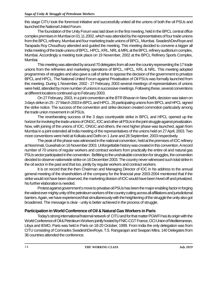this stage CITU took the foremost initiative and successfully united all the unions of both the oil PSUs and launched the National United Forum.

The foundation of the Unity Forum was laid down in the first meeting, held in the BPCL central office complex premises in Mumbai on 01.11.2002, which was attended by the representatives of four trade unions from the BPCL refinery, Mumbai and four marketing trade unions of BPCL, Mumbai. SwadeshDevRoye and Tarapada Roy Choudhury attended and guided the meeting. This meeting decided to convene a bigger all India meeting of the trade unions of BPCL, HPCL, KRL, NRL & MRL at the BPCL refinery auditorium complex, Mumbai. Accordingly a meeting took place on 19 November, 2002 at the BPCL Refinery Sports Complex, Mumbai.

This meeting was attended by around 70 delegates from all over the country representing the 17 trade unions from the refineries and marketing operations of BPCL, HPCL, KRL & NRL. This meeting adopted programmes of struggles and also gave a call of strike to oppose the decision of the government to privatize BPCL and HPCL. The National United Forum against Privatisation of Oil PSUs was formally launched from this meeting. During 1 November, 2002 - 27 February, 2003 several meetings of representatives of unions were held, attended by more number of unions in successive meetings. Following these, several conventions at different locations continued up to February 2003.

On 27 February, 2003, in a joint convention at the BTR Bhavan in New Delhi, decision was taken on 3 days strike on 25 - 27 March 2003 in BPCL and HPCL. 26 participating unions from BPCL and HPCL signed the strike notice. The success of the convention and strike decision created commotion particularly among the trade union movement in oil PSUs.

The reverberating success of the 3 days countrywide strike in BPCL and HPCL opened up the horizon for involving the trade unions of ONGC, IOC and other oil PSUs in the joint struggle against privatization. Now, with joining of the unions of IOC, ONGC and others, the next higher phase was launched, again from Mumbai in a joint extended all India meeting of the representatives of the unions held on 27 April, 2003. Two more conventions were held at Kolkata and Delhi on 1 June and 28 September, 2003 respectively.

The peak of the phase was witnessed in the national convention, held at the premises of IOC refinery at Noonmati, Guwahati on 16 November 2003. Unforgettable history was created in this convention. A record number of 70 unions of regular workers and contract workers from practically the entire oil and natural gas PSUs sector participated in the convention. Befitting to the unshakable conviction for struggles, the convention decided to observe nationwide strike on 16 December 2003. The country never witnessed such total strike in the oil sector in the past and that too, jointly by regular workers and contract workers.

It is on record that the then Chairman and Managing Director of IOC in his address to the annual general meeting of the shareholders of the company for the financial year 2003-2004 mentioned that if the strike would not have been observed, the marketing division of IOC would have been hived off and privatized. No further elaboration is needed.

Protest against government's move to privatise oil PSUs has been the major enabling factor in forging the widest ever mighty unity of the petroleum workers of the country cutting across all affiliations and jurisdictional barriers. Again, we have experienced that simultaneously with the heightening of the struggle the unity also got broadened. The message is clear - unity is better achieved in the process of struggle.

#### **Participation in World Conference of Oil & Natural Gas Workers in Paris**

Today's strong international fraternal network of CITU and for that matter PGWFI has its origin with the World Conference of Oil & Petroleum Workers jointly hosted by FNIC-CGT France, OCI Union of Mediterranean, Libya and IEMO, Paris was held in Paris on 18-20 October, 1999. From India the only delegation was from CITU consisting of Comrades SwadeshDevRoye, T.S. Rangarajan and Swapan Mitra. 140 Delegates from 36 countries attended the conference.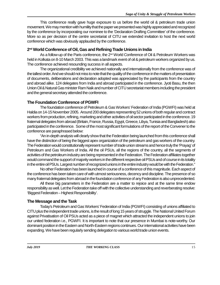This conference really gave huge exposure to us before the world oil & petroleum trade union movement. We may mention with humility that the paper we presented was highly appreciated and recognized by the conference by incorporating our nominee to the 'Declaration Drafting Committee' of the conference. More so as per decision of the centre secretariat of CITU we extended invitation to host the next world conference which was obviously applauded by the conference.

#### **2 nd World Conference of Oil, Gas and Refining Trade Unions in India**

As a follow-up of the Paris conference, the 2<sup>nd</sup> World Conference of Oil & Petroleum Workers was held in Kolkata on 8-10 March 2003. This was a landmark event of oil & petroleum workers organized by us. The conference achieved resounding success in all aspects.

The organizational credibility we achieved nationally and internationally from the conference was of the tallest order. And we should not miss to note that the quality of the conference in the matters of presentation of documents, deliberations and declaration adopted was appreciated by the participants from the country and abroad alike. 124 delegates from India and abroad participated in the conference. Jyoti Basu, the then Union Oil & Natural Gas minister Ram Naik and number of CITU secretariat members including the president and the general secretary attended the conference.

#### **The Foundation Conference of PGWFI**

The foundation conference of Petroleum & Gas Workers' Federation of India (PGWFI) was held at Haldia on 14-15 November 2005. Around 200 delegates representing 52 unions of both regular and contract workers from production, refining, marketing and other activities of oil sector participated in the conference. 19 fraternal delegates from abroad (Britain, France, Russia, Egypt, Greece, Libya, Tunisia and Bangladesh) also participated in the conference. Some of the most significant formulations of the report of the Convener to the conference are paraphrased below:

"An in-depth analysis will clearly show that the Federation being launched from this conference shall have the distinction of being the biggest apex organization of the petroleum and gas workers of the country. The Federation would constitutionally represent number of trade union streams and hence truly the 'Prayag' of Petroleum and Gas Workers of India. All the oil PSUs, all the regions of the country, all the segments of activities of the petroleum industry are being represented in the Federation. The Federation affiliates together would command the support of majority workers in the different respective oil PSUs and of course in its totality in the entire oil PSUs. Largest number of recognized unions in the entire industry would be with the Federation."

No other Federation has been launched in course of a conference of this magnitude. Each aspect of the conference has been taken care of with utmost seriousness, decency and discipline. The presence of so many fraternal delegates from abroad in the foundation conference of any Federation is also unprecedented.

All these big parameters in the Federation are a matter to rejoice and at the same time endow responsibility as well. Let the Federation take off with the collective understanding and reverberating resolve: 'Biggest Federation – Highest Responsibility'.

#### **The Message and the Task**

Today's Petroleum and Gas Workers' Federation of India (PGWFI) consisting of unions affiliated to CITU plus the independent trade unions, is the result of long 15 years of struggle. The National United Forum against Privatisation of Oil PSUs acted as a piece of magnet which attracted the independent unions to join our united federation i.e., PGWFI. It is important to note that our presence in Mumbai is note-worthy. Our dominant position in the Eastern and North-Eastern regions continues. Our international activities have been expanding. We have been regularly sending delegation to various world trade union events.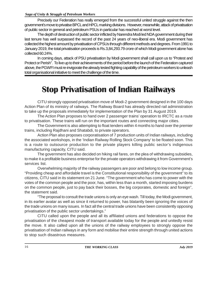Precisely our Federation has really emerged from the successful united struggle against the then government's move to privatise BPCL and HPCL marking divisions. However, meanwhile, attack of privatisation of public sector in general and petroleum PSUs in particular has reached at worst level.

The depth of destruction of public sector inflicted by Narendra Modi led NDA government during their last tenure has well surpassed the record of the past 24 years of neo-liberal era. Modi government has collected the highest amount by privatisation of CPSUs through different methods and degrees. From 1991 to January 2019, the total privatisation proceeds is Rs.3,84,293.79 crore of which Modi government alone has collected 60.24%.

In coming days, attack of PSU privatisation by Modi government shall call upon us to "Protest and Protect or Perish". To live up to their achievements of the period before the launch of the Federation captured above, the PGWFI must re-invigorate the already tested fighting capability of the petroleum workers to unleash total organisational initiative to meet the challenge of the time.

## **Stop Privatisation of Indian Railways**

CITU strongly opposed privatisation move of Modi-2 government designed in the 100 days Action Plan of its ministry of railways. The Railway Board has already directed rail administration to take up the proposals immediately for implementation of the Plan by 31 August 2019.

The Action Plan proposes to hand over 2 passenger trains' operation to IRCTC as a route to privatisation. These trains will run on the important routes and connecting major cities.

The Government is also attempting to float tenders within 4 months to hand over the premier trains, including Rajdhani and Shatabdi, to private operators.

Action Plan also proposes corporatisation of 7 production units of Indian railways, including the associated workshops, in the 'Indian Railway Rolling Stock Company' to be floated soon. This is a route to outsource production to the private players killing public sector's indigenous manufacturing capacity, CITU said.

The government has also decided on hiking rail fares, on the plea of withdrawing subsidies, to make it a profitable business enterprise for the private operators withdrawing it from Government's services list.

Overwhelming majority of the railway passengers are poor and belong to low income group. "Providing cheap and affordable travel is the Constitutional responsibility of the government" to its citizens, CITU said in its statement on 21 June. "The government who has come to power with the votes of the common people and the poor, has, within less than a month, started imposing burdens on the common people, just to pay back their bosses, the big corporates, domestic and foreign", the statement said.

"The proposal to consult the trade unions is only an eye wash. Till today, the Modi government, in its earlier avatar as well as since it returned to power, has blatantly been ignoring the voices of the trade unions on many issues. In fact all the central trade unions have been consistently opposing privatisation of the public sector undertakings."

CITU called upon the people and all its affiliated unions and federations to oppose the privatisation of the cheapest mode of transport available today for the people and unitedly resist the move. It also called upon all the unions of the railway employees to strongly oppose the privatisation of Indian railways in any form and mobilise their entire strength through united actions to stop such disastrous measures.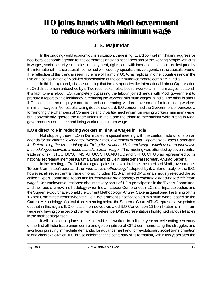## **ILO joins hands with Modi Government to reduce workers minimum wage**

#### **J. S. Majumdar**

In the ongoing world economic crisis situation, there is rightward political shift having aggressive neoliberal economic agenda for the corporates and against all sections of the working people with cuts in wages, social security, subsidies, employment, rights; and with increased taxation - as designed by the international finance capital - combined with country-specific divisive agenda in the capitalist world. The reflection of this trend is seen in the rise of Trump in USA, his replicas in other countries and in the rise and consolidation of Modi-led dispensation of the communal-corporate combine in India.

In this background, it is not surprising that the UN agencies like International Labour Organisation (ILO) did not remain untouched by it. Two recent examples, both on workers minimum wages, establish this fact. One is about ILO, completely bypassing the labour, joined hands with Modi government to prepare a report to give legitimacy in reducing the workers' minimum wages in India. The other is about ILO constituting an enquiry committee and condemning Maduro government for increasing workers minimum wages in Venezuela. Using double standard, ILO condemned the Government of Venezuela for 'ignoring the Chambers of Commerce and tripartite mechanism' on raising workers minimum wage; but, conveniently ignored the trade unions in India and the tripartite mechanism while sitting in Modi government's committee and fixing workers minimum wage.

#### **ILO's direct role in reducing workers minimum wages in India**

Not stopping there, ILO in Delhi called a special meeting with the central trade unions on an agenda for "*an informal exchange of views on the Government of India 'Report of the Expert Committee for Determining the Methodology for Fixing the National Minimum Wage', which used an innovative methodology to estimate a needs-based minimum wage."* This meeting was attended by seven central trade unions - INTUC, BMS, HMS, AITUC, CITU, AIUTUC and NFITU. CITU was represented by its national secretariat member Karumalayam and its Delhi state general secretary Anurag Saxena.

In the meeting, ILO officials took great pains to explain in details the 'merits' of Modi government's 'Expert Committee' report and the *"innovative methodology*" adopted by it. Unfortunately for the ILO, however, all seven central trade unions, including RSS-affiliated BMS, unanimously rejected the so called 'Expert Committee' report and its "*innovative methodology to estimate a need-based minimum wage*". Karumalayam questioned about the very basis of ILO's participation in the 'Expert Committee' and the need of a new methodology when Indian Labour Conferences (ILCs), all tripartite bodies and the Supreme Court have upheld the Current Methodology. Anurag Saxena questioned the timing of this 'Expert Committee' report when the Delhi government's notification on minimum wage, based on the Current Methodology of calculation, is pending before the Supreme Court. AITUC representative pointed out that in this regard ILO officials themselves violated ILO Convention 131 on fixation of minimum wage and having gone beyond their terms of reference. BMS representatives highlighted various fallacies in the methodology itself.

It will not be out of place to note that, while the workers in India this year are celebrating centenary of the first all India trade union centre and golden jubilee of CITU commemorating the struggles and sacrifices pursuing immediate demands, for advancement and for revolutionary social transformation to end class exploitation; ILO is also celebrating the centenary of its formation, within two years after the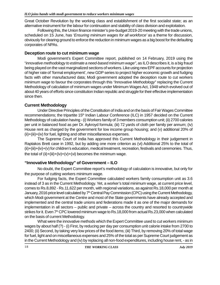Great October Revolution by the working class and establishment of the first socialist state; as an alternative instrument for the labour for continuation and stability of class division and exploitation.

Following this, the Union finance minister's pre-budget 2019-20 meeting with the trade unions, scheduled on 15 June, has '*Ensuring minimum wages for all workforce'* as a theme for discussion, obviously for clearing ground to enforce the reduction in minimum wages as a big boost for the defaulting corporates of NPAs.

#### **Deception route to cut minimum wage**

Modi government's Expert Committee report, published on 14 February, 2019 using the "*innovative methodology to estimate a need-based minimum wage"*, as ILO describes it, is a big fraud being played on the vast marginalized sections of workers. Like using new EPF accounts for projection of higher rate of 'formal employment', new GDP series to project higher economic growth and fudging facts with other manufactured data; Modi government adopted the deception route to cut workers minimum wage to favour the corporates through this *"Innovative Methodology*" replacing the Current Methodology of calculation of minimum wages under Minimum Wages Act, 1948 which evolved out of about 40 years of efforts since constitution Indian republic and struggle for their effective implementation since then.

#### **Current Methodology**

Under Directive Principles of the Constitution of India and on the basis of Fair Wages Committee recommendations; the tripartite 15<sup>th</sup> Indian Labour Conference (ILC) in 1957 decided on the Current Methodology of calculation having - (i) Workers family of 3 members consumption unit; (ii) 2700 calories per unit in balanced food as per Dr. Aykroyd formula; (iii) 72 yards of cloth per family per annum; (iv) House rent as charged by the government for low income group housing; and (v) additional 20% of (ii)+(iii)+(iv) for fuel, lighting and other miscellaneous expenses.

The Supreme Court of India has approved this Current Methodology in their judgement in Raptakos Brett case in 1992, but by adding one more criterion as (vi) Additional 25% to the total of (ii)+(iii)+(iv)+(v) for children's education, medical treatment, recreation, festivals and ceremonies. Thus, the total of  $(ii)+(iii)+(iv)+(v)+(vi)$  becomes the minimum wage.

#### **"Innovative Methodology" of Government – ILO**

No doubt, the Expert Committee report's methodology of calculation is innovative, but only for the purpose of cutting workers minimum wage.

For fudging facts, the Expert Committee calculated workers family consumption unit as 3.6 instead of 3 as in the Current Methodology. Yet, a worker's total minimum wage, at current price level, comes to Rs.8,892 - Rs.11,622 per month, with regional variations, as against Rs.18,000 per month at January, 2016 price level calculated by 7<sup>th</sup> Central Pay Commission (CPC) using the Current Methodology, which Modi government at the Centre and most of the State governments have already accepted and implemented and the central trade unions and federations made it as one of the major demands for implementation in all sectors – public and private – across the country and resorted to countrywide strikes for it. Even 7<sup>th</sup> CPC lowered minimum wage to Rs.18,000 from actual Rs.23,000 when calculated on the basis of current Methodology.

What were the innovative methods which the Expert Committee used to cut workers minimum wages by about half (?) - (i) First, by reducing per day per consumption unit calorie intake from 2700 to 2400; (ii) Second, by taking very low prices of the food items; (iii) Third, by removing 20% of total wage for fuel, light and on miscellaneous expenses and 25% of the total as per Supreme Court judgement as in the Current Methodology and (iv) by replacing all non-food expenditures, including house rent, - as in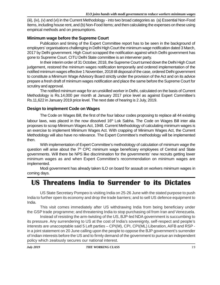(iii), (iv), (v) and (vi) in the Current Methodology - into two broad categories as (a) Essential Non-Food Items, including house rent, and (b) Non-Food Items; and then calculating the expenses on these using empirical methods and on presumptions.

#### **Minimum wage before the Supreme Court**

Publication and timing of the Expert Committee report has to be seen in the background of employers' organisations challenging in Delhi High Court the minimum wage notification dated 3 March, 2017 by Delhi government. High Court scrapped the notification against which Delhi government has gone to Supreme Court. CITU Delhi State committee is an intervener party.

In their interim order of 31 October, 2018, the Supreme Court turned down the Delhi High Court judgement, restored the minimum wages notification temporarily and ordered implementation of the notified minimum wages effective 1 November, 2018 till disposal of the case, ordered Delhi government to constitute a Minimum Wage Advisory Board strictly under the provision of the Act and on its advice prepare a fresh draft of minimum wages notification and place the same before the Supreme Court for scrutiny and approval.

The notified minimum wage for an unskilled worker in Delhi, calculated on the basis of Current Methodology is Rs.14,000 per month at January 2017 price level as against Expert Committee's Rs.11,622 in January 2019 price level. The next date of hearing is 2 July, 2019.

#### **Design to implement Code on Wages**

The Code on Wages Bill, the first of the four labour codes proposing to replace all 44 existing labour laws, was placed in the now dissolved 16<sup>th</sup> Lok Sabha. The Code on Wages Bill inter alia proposes to scrap Minimum Wages Act, 1948. Current Methodology of calculating minimum wages is an exercise to implement Minimum Wages Act. With crapping of Minimum Wages Act, the Current Methodology will also have no relevance. The Expert Committee's methodology will be implemented then.

With implementation of Expert Committee's methodology of calculation of minimum wage the question will arise about the  $7<sup>th</sup>$  CPC minimum wage beneficiary employees of Central and State governments. Will there be NPS like discrimination for the governments' new recruits getting lower minimum wages as and when Expert Committee's recommendation on minimum wages are implemented.

Modi government has already taken ILO on board for assault on workers minimum wages in coming days.

## **US Threatens India to Surrender to its Dictates**

US State Secretary Pompeo is visiting India on 25-26 June with the stated purpose to push India to further open its economy and drop the trade barriers; and to sell US defence equipment to India.

This visit comes immediately after US withdrawing India from being beneficiary under the GSP trade programme; and threatening India to stop purchasing oil from Iran and Venezuela.

Instead of resisting the arm-twisting of the US, BJP-led NDA government is succumbing to its pressure. Any surrendering to US at the cost of India's sovereignty, self-respect and people's interests are unacceptable said 5 Left parties – CPI(M), CPI, CPI(ML) Liberation, AIFB and RSP in a joint statement on 20 June calling upon the people to oppose the BJP government's surrender of Indian interests before the US and to firmly demand of the government to pursue an independent policy which zealously secures our national interest.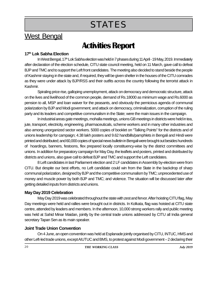## **STATES**

### West Bengal

## **Activities Report**

#### **17th Lok Sabha Election**

In West Bengal, 17<sup>th</sup> Lok Sabha election was held in 7 phases during 11 April - 19 May, 2019. Immediately after declaration of the election schedule, CITU state council meeting, held on 11 March, gave call to defeat BJP and TMC and to support the Left front candidates. The meeting also decided to stand beside the people of Kashmir staying in the state and, if required, they will be given shelter in the houses of the CITU comrades as they were under attack by BJP/RSS and their outfits across the country following the terrorist attack in Kashmir.

Spiraling price rise, galloping unemployment, attack on democracy and democratic structure, attack on the lives and livelihood of the common people, demand of Rs.18000 as minimum wage and Rs.6000 as pension to all, MSP and loan waiver for the peasants, and obviously the pernicious agenda of communal polarization by BJP and Modi government; and attack on democracy, criminalization, corruption of the ruling party and its leaders and competitive communalism in the State; were the main issues in the campaign.

In industrial areas gate meetings, mohalla meetings, unions GB meetings in districts were held in tea, jute, transport, electricity, engineering, pharmaceuticals, scheme workers and in many other industries and also among unorganized sector workers. 5000 copies of booklet on "Talking Points" for the districts and of unions leadership for campaign; 4.38 lakh posters and 9.62 handbills/pamphlets in Bengali and Hindi were printed and distributed; and 60,000 copies of special news bulletin in Bengali were brought out besides hundreds of hoardings, banners, festoons, flex prepared locally constituency-wise by the district committees and unions. In addition for preparatory campaign for May Day, the leaflets and posters, printed and distributed by districts and unions, also gave call to defeat BJP and TMC and support the Left candidates.

8 Left candidates in last Parliament election and 2 LF candidates in Assembly by-election were from CITU. But despite our best efforts, no Left candidate could win from the State in the backdrop of sharp communal polarization, designed by BJP and the competitive communalism by TMC; unprecedented use of money and muscle power by both BJP and TMC; and violence. The situation will be discussed later after getting detailed inputs from districts and unions.

#### **May Day 2019 Celebration**

May Day 2019 was celebrated throughout the state with zest and fervor. After hoisting CITU flag, May Day meetings were held and rallies were brought out in districts. In Kolkata, flag was hoisted at CITU state centre, attended by leaders and members. In the afternoon, 10,000 strong workers rally and public meeting was held at Sahid Minar Maidan, jointly by the central trade unions addressed by CITU all India general secretary Tapan Sen as its main speaker.

#### **Joint Trade Union Convention**

On 4 June, an open convention was held at Esplanade jointly organised by CITU, INTUC, HMS and other Left-led trade unions, except AIUTUC and BMS, to protest against Modi government – 2 declaring their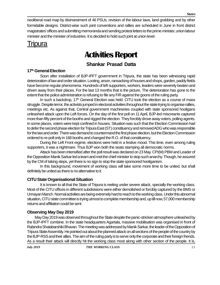neoliberal road map by disinvestment of 46 PSUs, revision of the labour laws, land grabbing and by other formidable designs. District-wise such joint conventions and rallies are scheduled in June in front district magistrates' offices and submitting memoranda and sending protest letters to the prime minister, union labour minister and the minister of industries. It is decided to hold such joint at union level.

Tripura

## **Activities Report**

#### **Shankar Prasad Datta**

#### **17th General Election**

Soon after installation of BJP-IPFT government in Tripura, the state has been witnessing rapid deterioration of law and order situation. Looting, arson, ransacking of houses and shops, garden, paddy fields have become regular phenomena. Hundreds of left supporters, workers, leaders were severely beaten and driven away from their places. For the last 13 months that is the picture. The deterioration has gone to the extent that the police administration is refusing to file any FIR against the goons of the ruling party.

In such a backdrop,  $17<sup>th</sup>$  General Election was held. CITU took the election as a course of mass struggle. Despite terror, the activists jumped in electoral activities throughout the state trying to organise rallies, meetings etc. As against that, Central government machineries coupled with state sponsored hooligans unleashed attack upon the Left forces. On the day of the first poll on 11 April, BJP-led miscreants captured more than fifty percent of the booths and rigged the election. They forcibly drove away voters, polling agents. In some places, voters were kept confined in houses. Situation was such that the Election Commission had to defer the second phase election for Tripura East (ST) constituency and removed ADG who was responsible for the law and order. There was demand to countermand the first phase election, but the Election Commission ordered to re-poll only in 168 booths and changed the R.O. of that constituency.

During the Left Front regime, elections were held in a festive mood. This time, even among ruling supporters, it was a nightmare. Thus BJP won both the seats stamping all democratic norms.

Attack has been intensified after the poll result was declared on 23 May. CPI(M) PBM and Leader of the Opposition Manik Sarkar led a team and met the chief minister to stop such anarchy. Though, he assured by the CM of taking steps, yet there is no sign to stop the state sponsored hooliganism.

In this background, movement of working class will take some more time to be united, but shall definitely be united as there is no alternative to it.

#### **CITU State Organisational Situation**

It is known to all that the State of Tripura is reeling under severe attack, specially the working class. Most of the CITU offices in different subdivisions were either demolished or forcibly captured by the BMS or Unnayan Manch. Normal activities are being extremely hard to reach to the working class. Under this abnormal situation, CITU state committee is trying utmost to complete membership and, up till now, 57,000 membership returns and affiliation could be sent.

#### **Observing May Day 2019**

May Day 2019 was observed throughout the State despite the panic-stricken atmosphere unleashed by the BJP-IPFT combine. In the state headquarters Agartala, massive mobilisation was organised in front of Rabindra Shatabarshiki Bhavan. The meeting was addressed by Manik Sarkar, the leader of the Opposition of Tripura State Assembly. He pointed out about the planned attack on all sections of the people of the country by the BJP-RSS and their allies. The aim of the ruling party is to serve only the corporate and their foreign friends. As a result their attack will directly hit the working class most along with other section of the people. It is,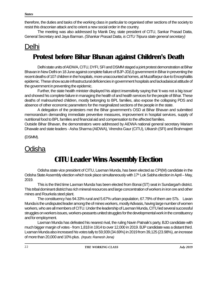therefore, the duties and tasks of the working class in particular to organised other sections of the society to resist this draconian attack and to orient a new social order in the country.

The meeting was also addressed by Manik Dey, state president of CITU, Sankar Prasad Datta, General Secretary and Jaya Barman. *(Shankar Prasad Datta, is CITU Tripura state general secretary)*

### Delhi

### **Protest before Bihar Bhavan against Children's Death**

Delhi state units of AIDWA, CITU, DYFI, SFI and DSMM staged a joint protest demonstration at Bihar Bhavan in New Delhi on 18 June against complete failure of BJP-JD(U) government in Bihar in preventing the recent deaths of 107 children in the hospitals, more unaccounted at homes, at Muzaffarpur due to Encephalitis epidemic. These show acute infrastructural deficiencies in government hospitals and lackadaisical attitude of the government in preventing the epidemic.

Further, the state health minister displayed his abject insensitivity saying that 'it was not a big issue' and showed his complete failure in managing the health of and health services for the people of Bihar. These deaths of malnourished children, mostly belonging to BPL families, also expose the collapsing PDS and absence of other economic parameters for the marginalized sections of the people in the state.

A delegation of the protesters met the Bihar government's OSD at Bihar Bhavan and submitted memorandum demanding immediate preventive measures, improvement in hospital services, supply of nutritional food to BPL families and financial aid and compensation to the affected families.

Outside Bihar Bhavan, the demonstrators were addressed by AIDWA national general secretary Mariam Dhawale and state leaders - Asha Sharma (AIDWA), Virendra Gaur (CITU), Utkarsh (SFI) and Brahmajeet

(DSMM).

### **Odisha**

## **CITU Leader Wins Assembly Election**

Odisha state vice president of CITU, Laxman Munda, has been elected as CPI(M) candidate in the Odisha State Assembly election which took place simultaneously with 17<sup>th</sup> Lok Sabha election in April – May, 2019.

This is the third time Laxman Munda has been elected from Bonai (ST) seat in Sundargarh district. This tribal dominant district has rich mineral resources and large concentration of workers in iron ore and other mines and Rourkela steel plant.

The constituency has 94.33% rural and 5.67% urban population, 67.79% of them are STs. Laxan Munda is the undisputed leader among the of mines workers, mostly Adivasis, having large number of women workers, who are all members of CITU. Under the leadership of Laxman Munda, CITU led several successful struggles on workers issues, workers-peasants united struggles for the developmental work in the constituency and for employment.

Laxman Munda has defeated his nearest rival, the ruling Navin Patnaik's party, BJD candidate with much bigger margin of votes - from 1,818 in 1914 to over 12,000 in 2019. BJP candidate was a distant third. Lxaman Munda also increased his votes tally to 59,939 (34.69%) in 2019 from 39,125 (23.98%), an increase of more than 20,000 and 10% plus. *(Inputs: Ramesh Jena)*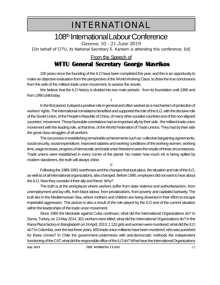## INTERNATIONAL

## 108<sup>th</sup> International Labour Conference

Geneva; 10 - 21 June 2019

[*On behalf of CITU, its National Secretary E. Kareem is attending this conference; Ed*]

### From the Speech of

### **WFTU General Secretary George Mavrikos**

100 years since the founding of the ILO have been completed this year, and this is an opportunity to make an objective evaluation from the perspective of the World Working Class, to draw the true conclusions from the side of the militant trade union movement, to assess the results.

We believe that the ILO history is divided into two main periods - from its foundation until 1990 and from 1990 until today.

I In the first period, it played a positive role in general and often worked as a mechanism of protection of workers' rights. The international correlations benefited and supported the role of the ILO, with the decisive role of the Soviet Union, of the People's Republic of China, of many other socialist countries and of the non-aligned countries' movement. Those favorable correlations had an important ally by their side - the militant trade union movement with the leading role, at that time, of the World Federation of Trade Unions. They had by their side the great class struggles of all workers.

The successes in establishing remarkable achievements such as: collective bargaining agreements, social security, social expenditure, improved salaries and working conditions of the working women, working time, wage increase, progress of democratic and trade union freedoms were the results of these circumstances. Trade unions were established in every corner of the planet. No matter how much ink is being spilled by modern slanderers, the truth will always shine.

I I

Following the 1989-1991 overthrows and the changes that took place, the situation and role of the ILO, as well as of all international organizations, also changed. Before 1990, employers did not want to hear about the ILO. Now they consider it their ally and friend. Why?

The truth is at the workplaces where workers suffer from state violence and authoritarianism, from unemployment and lay-offs, from black labour, from privatizations, from poverty and capitalist barbarity. The truth lies in the Mediterranean Sea, where mothers and children are being drowned in their effort to escape imperialist aggression. This picture is also a result of the role played by the ILO and of the current situation within the leaderships of the trade union movement.

Since 1960 the blockade against Cuba continues; what did the International Organizations do? In Soma, Turkey, on 13 May 2014, 301 workers were killed; what did the International Organizations do? In the Rana Plaza factory in Bangladesh on 24 April, 2013, 1,132 girls and women were murdered; what did the ILO do? In Colombia, over the last three years, 600 trade union militants have been murdered; who was punished for these crimes? In Chile the government undermines with anti-democratic methods the independent functioning of the CAT; what did the responsible office of the ILO do? What have the International Organizations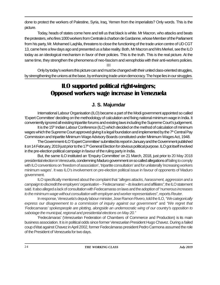done to protect the workers of Palestine, Syria, Iraq, Yemen from the imperialists? Only words. This is the picture.

Today, heads of states come here and tell us that black is white. Mr Macron, who attacks and beats the protesters, who fires 1000 workers from Centrale à charbon de Gardanne, whose Member of the Parliament from his party, Mr. Mohamed Laqhila, threatens to close the functioning of the trade union centre of UD CGT 13, came here a few days ago and presented us a false reality. Both, Mr Macron and Mrs Merkel, see the ILO today as an ideological mechanism in favor of their policies. This is the truth. This is the real picture. At the same time, they strengthen the phenomena of neo-fascism and xenophobia with their anti-workers policies. I I I

Only by today's workers this picture can and must be changed with their united class-oriented struggles, by strengthening the unions at the base, by enhancing trade union democracy. The hope lies in our struggles.

### **ILO supported political right-wingers; Opposed workers wage increase in Venezuela**

#### **J. S. Majumdar**

International Labour Organisation (ILO) became a part of the Modi government appointed so called 'Expert Committee' deciding on the methodology of calculation and fixing national minimum wage in India. It conveniently ignored all existing tripartite forums and existing laws including the Supreme Court's judgement.

It is the 15<sup>th</sup> Indian Labour Conference (ILC) which decided on the method of calculation of minimum wages which the Supreme Court approved giving it a legal foundation and implemented by the 7<sup>th</sup> Central Pay Commission and tripartite Minimum Wage Advisory Boards constituted under Minimum Wages Act, 1948.

The Government-ILO 'Expert Committee' submitted its report in January and the Government published it on 14 February, 2019 just prior to the 17<sup>th</sup> General Election for obvious political purpose. ILO got itself involved in the pre-election political campaign in favour of the ruling party in India.

But, the same ILO instituted an 'Enquiry Committee' on 21 March, 2018, just prior to 20 May 2018 presidential election in Venezuela, condemning Maduro government on so called allegations of failing to comply with ILO conventions on 'freedom of association', 'tripartite consultation' and for unilaterally 'increasing workers minimum wages'. It was ILO's involvement on pre-election political issue in favour of opponents of Maduro government.

ILO specifically mentioned about the complaint that*"alleges attacks, harassment, aggression and a campaign to discredit the employers'organisation – 'Fedecamaras' – its leaders and affiliates",* the ILO statement said. It also alleged a lack of consultation with Fedecamaras on laws and the adoption of "*numerous increases to the minimum wage without consultation with employer and worker representatives*", reports*Reuter*.

In response, Venezuela's deputy labour minister, Jose Ramon Rivero, told the ILO,*"We categorically express our disagreement to a commission of inquiry against our government"* and *"We regret that 'Fedecamaras' spokespeople are plotting, alongside an undemocratic wing of our country's opposition to sabotage the municipal, regional and presidential elections on May 20."*

'Fedecámaras' (Venezuelan Federation of Chambers of Commerce and Production) is its main business association. It is in political odds since former Venezuelan President Hugo Chavez. During a failed coup d'état against Chavez in April 2002, former Fedecámaras president Pedro Carmona assumed the role of the President of Venezuela for two days.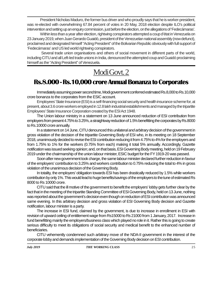President Nicholas Maduro, the former bus driver and who proudly says that he is worker-president, was re-elected with overwhelming 67.84 percent of votes in 20 May, 2018 election despite ILO's political intervention and setting up an enquiry commission, just before the election, on the allegations of'Fedecámaras'.

Within less than a year after election, rightwing conspirators attempted a coup d'état in Venezuela on 23 January 2019, when Juan Gerardo Guaidó, president of the Venezuelan national assembly (now defunct), proclaimed and designated himself "Acting President" of the Bolivarian Republic obviously with full support of 'Fedecámaras' and US led world rightwing conspirators.

 Several trade union organisations and others of social movement in different parts of the world, including CITU and all Left-led trade unions in India, denounced the attempted coup and Guaidó proclaiming himself as the "Acting President" of Venezuela.

## Modi Govt. 2

### **Rs.8.000 - Rs.10,000 crore Annual Bonanza to Corporates**

Immediately assuming power second time, Modi government conferred estimated Rs.8,000 to Rs.10,000 crore bonanza to the corporates from the ESIC account.

Employees' State Insurance (ESI) is a self-financing social security and health insurance scheme for, at present, about 3.6 crore workers employed in 12.8 lakh industrial establishments and managed by the tripartite Employees' State Insurance Corporation created by the ESI Act 1948.

The Union labour ministry in a statement on 13 June announced reduction of ESI contribution from employers from present 4.75% to 3.25%, a straightway reduction of 1.5% benefitting the corporates by Rs.8000 to Rs.10000 crore annually.

In a statement on 14 June, CITU denounced this *unilateral and arbitrary* decision of the government in gross violation of the decision of the tripartite Governing Body of ESI who, in its meeting on 18 September 2018, unanimously decided to revise the ESI contribution reducing it from 4.75% to 4% for the employers and from 1.75% to 1% for the workers (0.75% from each) making it total 5% annually. Accordingly, Gazette notification was issued seeking opinion; and, on that basis, ESI Governing Body meeting, held on 19 February 2019 under the chairmanship of the union labour minister, ESIC budget for the FY 1919-20 was passed.

Soon after new government took charge, the same labour minister declared further reduction in favour of the employers' contribution to 3.25% and workers contribution to 0.75% reducing the total to 4% in gross violation of the unanimous decision of the Governing Body.

In totality, the employers' obligation towards ESI has been drastically reduced by 1.5% while workers contribution by only 1%. This would lead to huge benefits/savings of the employers to the tune of estimated Rs 8000 to Rs 10000 crore.

CITU said that the ill motive of the government to benefit the employers' lobby gets further clear by the fact that in the meeting of the tripartite Standing Committee of ESI Governing Body, held on 13 June, nothing was reported about the government's decision even though on reduction of ESI contribution was announced same evening. In this arbitrary decision and gross violation of ESI Governing Body decision and Gazette notification, labour minister is a party.

The increase in ESI fund, claimed by the government, is due to increase in enrollment in ESI with revision of upward ceiling of entitlement wage from Rs15000 to Rs 21000 from 1 January, 2017. Increase in fund benefitting mainly the employers/business class which played no role in it. Rather this is going to create serious difficulty to meet its obligations of social security and medical benefit to the enhanced number of beneficiaries.

CITU vehemently condemned such arbitrary move of the NDA-II government in the interest of the corporate lobby and demands implementation of the Governing Body decision on ESI contribution.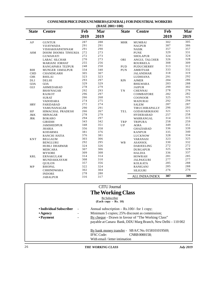| <b>State</b> | <b>Centre</b>         | Feb  | Mar  | <b>State</b> | <b>Centre</b>          | Feb  | Mar  |
|--------------|-----------------------|------|------|--------------|------------------------|------|------|
|              |                       | 2019 | 2019 |              |                        | 2019 | 2019 |
| AP           | <b>GUNTUR</b>         | 287  | 288  | <b>MHR</b>   | MUMBAI                 | 302  | 305  |
|              | VIJAYWADA             | 291  | 291  |              | <b>NAGPUR</b>          | 387  | 386  |
|              | VISHAKHAPATHNAM       | 291  | 290  |              | <b>NASIK</b>           | 357  | 357  |
| <b>ASM</b>   | DOOM DOOMA TINSUKIA   | 272  | 273  |              | <b>PUNE</b>            | 329  | 331  |
|              | <b>GUWAHATI</b>       | 272  | 273  |              | <b>SHOLAPUR</b>        | 324  | 324  |
|              | LABAC SILCHAR         | 270  | 273  | ORI          | ANGUL TALCHER          | 326  | 328  |
|              | <b>MARIANI JORHAT</b> | 255  | 256  |              | <b>ROURKELA</b>        | 308  | 309  |
|              | RANGAPARA TEZPUR      | 248  | 250  | PUD          | <b>PUDUCHERRY</b>      | 313  | 312  |
| BIH          | MUNGER JAMALPUR       | 334  | 340  | PUN          | AMRITSAR               | 333  | 332  |
| <b>CHD</b>   | <b>CHANDIGARH</b>     | 305  | 307  |              | <b>JALANDHAR</b>       | 318  | 319  |
| <b>CHS</b>   | <b>BHILAI</b>         | 323  | 323  |              | LUDHIANA               | 291  | 292  |
| DLI          | DELHI                 | 293  | 297  | <b>RJN</b>   | <b>AJMER</b>           | 284  | 286  |
| GOA          | GOA                   | 329  | 329  |              | <b>BHILWARA</b>        | 283  | 288  |
| GUJ          | AHMEDABAD             | 278  | 279  |              | <b>JAIPUR</b>          | 299  | 302  |
|              | <b>BHAVNAGAR</b>      | 292  | 293  | <b>TN</b>    | <b>CHENNAI</b>         | 278  | 276  |
|              | RAJKOT                | 296  | 297  |              | <b>COIMBATORE</b>      | 282  | 282  |
|              | <b>SURAT</b>          | 266  | 268  |              | <b>COONOOR</b>         | 325  | 325  |
|              | VADODARA              | 274  | 275  |              | MADURAI                | 292  | 294  |
| <b>HRY</b>   | <b>FARIDABAD</b>      | 272  | 274  |              | <b>SALEM</b>           | 287  | 287  |
|              | YAMUNANAGAR           | 290  | 291  |              | TIRUCHIRAPALLY         | 296  | 293  |
| HP           | HIMACHAL PRADESH      | 266  | 267  | TEL          | <b>GODAVARIKHANI</b>   | 321  | 321  |
| J&K          | <b>SRINAGAR</b>       | 278  | 279  |              | <b>HYDERABAD</b>       | 257  | 258  |
| <b>JRK</b>   | <b>BOKARO</b>         | 294  | 297  |              | WARRANGAL              | 314  | 315  |
|              | <b>GIRIDIH</b>        | 343  | 342  | TRP          | <b>TRIPURA</b>         | 258  | 259  |
|              | <b>JAMSHEDPUR</b>     | 348  | 351  | UP           | <b>AGRA</b>            | 349  | 351  |
|              | <b>JHARIA</b>         | 356  | 358  |              | <b>GHAZIABAD</b>       | 336  | 339  |
|              | <b>KODARMA</b>        | 381  | 376  |              | <b>KANPUR</b>          | 335  | 340  |
|              | RANCHI HATIA          | 376  | 381  |              | LUCKNOW                | 328  | 334  |
| <b>KNT</b>   | <b>BELGAUM</b>        | 303  | 306  |              | <b>VARANASI</b>        | 323  | 325  |
|              | <b>BENGLURU</b>       | 292  | 295  | <b>WB</b>    | ASANSOL                | 330  | 332  |
|              | <b>HUBLI DHARWAR</b>  | 324  | 326  |              | <b>DARJEELING</b>      | 272  | 272  |
|              | <b>MERCARA</b>        | 307  | 306  |              | <b>DURGAPUR</b>        | 325  | 329  |
|              | <b>MYSORE</b>         | 309  | 308  |              | <b>HALDIA</b>          | 336  | 337  |
| <b>KRL</b>   | ERNAKULAM             | 314  | 314  |              | HOWRAH                 | 281  | 285  |
|              | MUNDAKKAYAM           | 308  | 310  |              | <b>JALPAIGURI</b>      | 277  | 277  |
|              | <b>QUILON</b>         | 357  | 356  |              | <b>KOLKATA</b>         | 285  | 288  |
| MP           | <b>BHOPAL</b>         | 322  | 324  |              | <b>RANIGANJ</b>        | 285  | 288  |
|              | <b>CHHINDWARA</b>     | 302  | 304  |              | <b>SILIGURI</b>        | 276  | 276  |
|              | <b>INDORE</b>         | 278  | 280  |              |                        |      |      |
|              | JABALPUR              | 316  | 317  |              | <b>ALL INDIA INDEX</b> | 307  | 309  |
|              |                       |      |      |              |                        |      |      |

#### **CONSUMER PRICE INDEX NUMBERS (GENERAL) FOR INDUSTRIAL WORKERS (BASE 2001=100)**

Be Subscriber **(Each copy – Rs. 10)**

| • Individual Subscriber | $\sim$                   | Annual subscription $-$ Rs.100/- for 1 copy;                 |
|-------------------------|--------------------------|--------------------------------------------------------------|
| $\cdot$ Agency          | $\overline{\phantom{a}}$ | Minimum 5 copies; 25% discount as commission;                |
| • Payment               | $\blacksquare$           | By cheque - Drawn in favour of "The Working Class"           |
|                         |                          | payable at Canara Bank, DDU Marg Branch, New Delhi - 110 002 |
|                         |                          | By bank money transfer - $SB A/C No. 0158101019569$ ;        |
|                         |                          | CNRB 0000158:<br><b>IFSC</b> Code:                           |
|                         |                          | With email / letter intimation                               |

 *THE WORKING CLASS July 2019*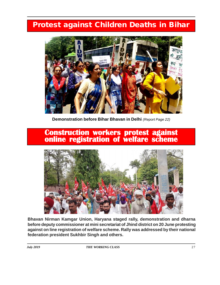### **Protest against Children Deaths in Bihar**



**Demonstration before Bihar Bhavan in Delhi** *(Report Page 22)*

# **Construction workers protest against online registration of welfare scheme**



**Bhavan Nirman Kamgar Union, Haryana staged rally, demonstration and dharna before deputy commissioner at mini secretariat of Jhind district on 20 June protesting against on line registration of welfare scheme. Rally was addressed by their national federation president Sukhbir Singh and others.**